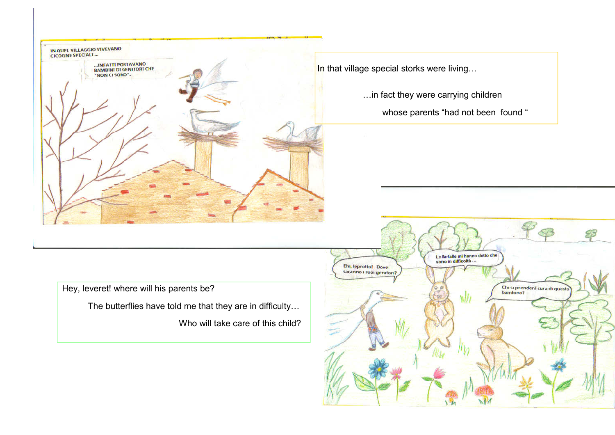

In that village special storks were living…

…in fact they were carrying children

whose parents "had not been found "

Hey, leveret! where will his parents be?

The butterflies have told me that they are in difficulty…

Who will take care of this child?

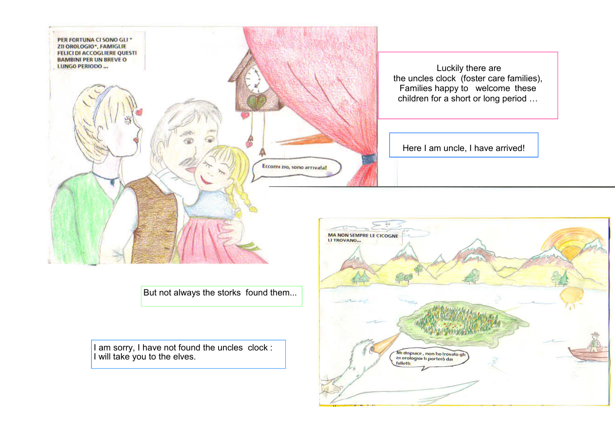

But not always the storks found them...

I am sorry, I have not found the uncles clock : I will take you to the elves.

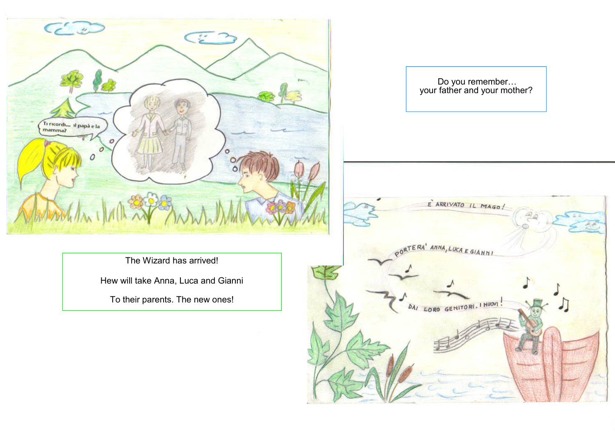![](_page_2_Picture_0.jpeg)

Do you remember… your father and your mother?

The Wizard has arrived!

Hew will take Anna, Luca and Gianni

To their parents. The new ones!

![](_page_2_Picture_5.jpeg)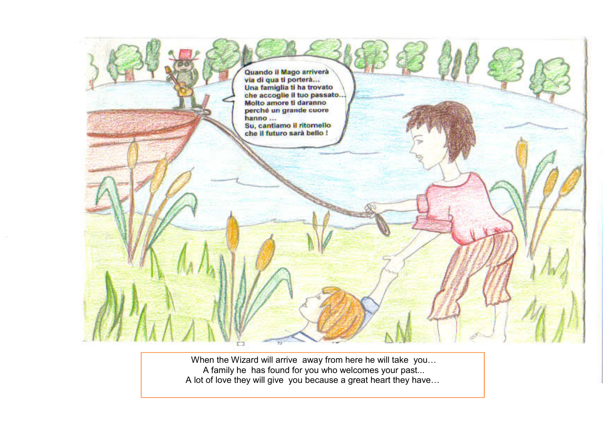![](_page_3_Picture_0.jpeg)

 When the Wizard will arrive away from here he will take you… A family he has found for you who welcomes your past... A lot of love they will give you because a great heart they have…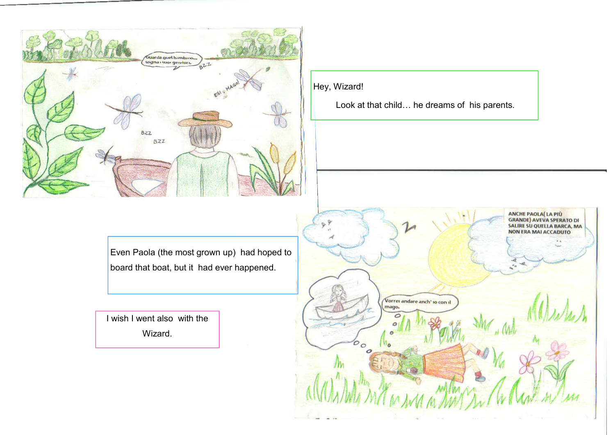![](_page_4_Picture_0.jpeg)

Hey, Wizard!

Look at that child… he dreams of his parents.

Even Paola (the most grown up) had hoped to board that boat, but it had ever happened.

I wish I went also with the Wizard.

![](_page_4_Picture_5.jpeg)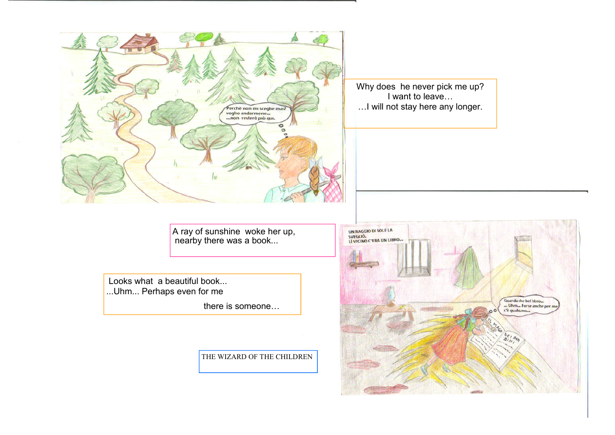![](_page_5_Picture_0.jpeg)

Why does he never pick me up? I want to leave… …I will not stay here any longer.

A ray of sunshine woke her up, nearby there was a book...

 Looks what a beautiful book... ...Uhm... Perhaps even for me

there is someone…

THE WIZARD OF THE CHILDREN

![](_page_5_Picture_6.jpeg)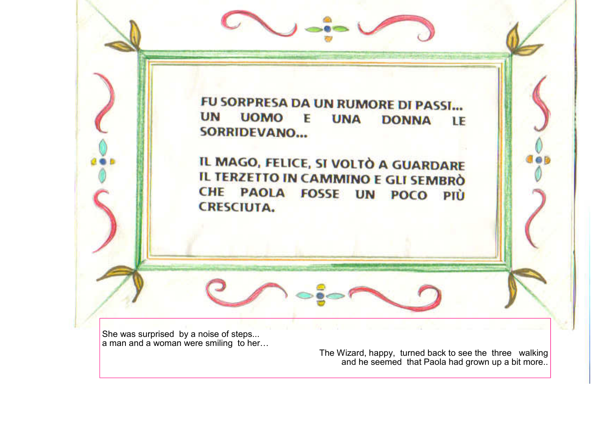![](_page_6_Picture_0.jpeg)